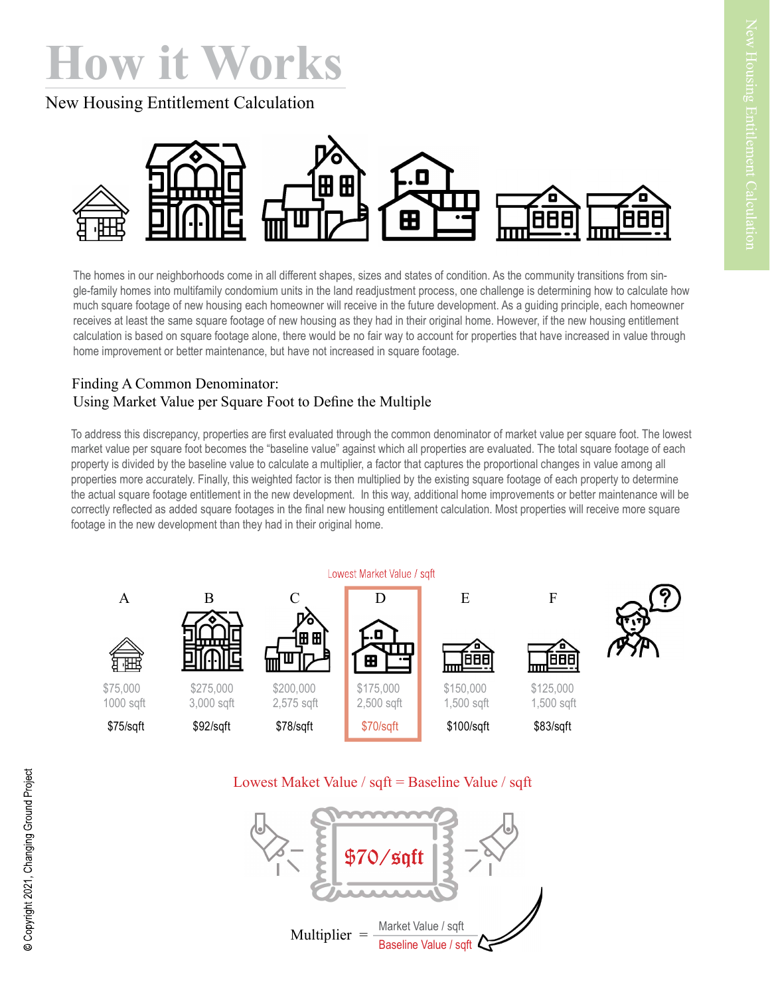## How it Works

New Housing Entitlement Calculation



The homes in our neighborhoods come in all different shapes, sizes and states of condition. As the community transitions from single-family homes into multifamily condomium units in the land readjustment process, one challenge is determining how to calculate how much square footage of new housing each homeowner will receive in the future development. As a guiding principle, each homeowner receives at least the same square footage of new housing as they had in their original home. However, if the new housing entitlement calculation is based on square footage alone, there would be no fair way to account for properties that have increased in value through home improvement or better maintenance, but have not increased in square footage.

## Finding A Common Denominator: Using Market Value per Square Foot to Define the Multiple

To address this discrepancy, properties are first evaluated through the common denominator of market value per square foot. The lowest market value per square foot becomes the "baseline value" against which all properties are evaluated. The total square footage of each property is divided by the baseline value to calculate a multiplier, a factor that captures the proportional changes in value among all properties more accurately. Finally, this weighted factor is then multiplied by the existing square footage of each property to determine the actual square footage entitlement in the new development. In this way, additional home improvements or better maintenance will be correctly reflected as added square footages in the final new housing entitlement calculation. Most properties will receive more square footage in the new development than they had in their original home.



## Lowest Maket Value / sqft = Baseline Value / sqft